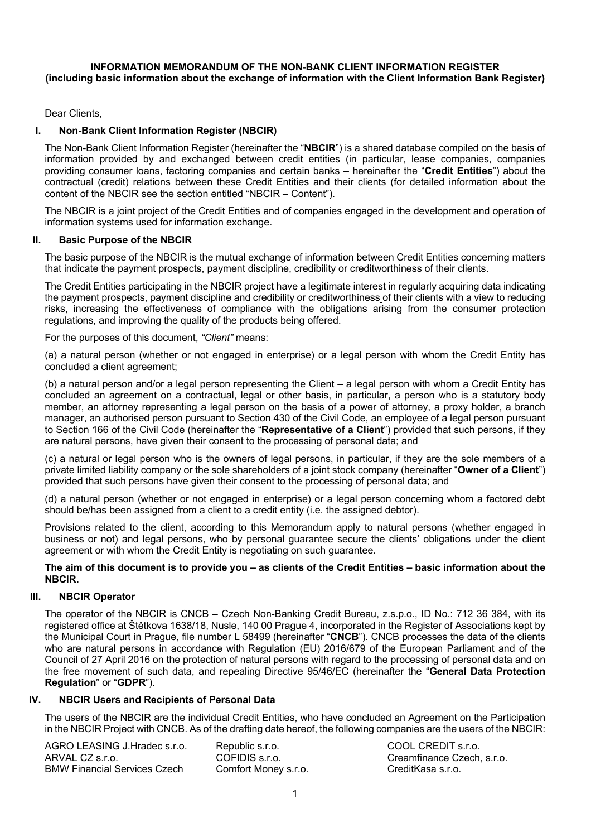# **INFORMATION MEMORANDUM OF THE NON-BANK CLIENT INFORMATION REGISTER (including basic information about the exchange of information with the Client Information Bank Register)**

Dear Clients,

# **I. Non-Bank Client Information Register (NBCIR)**

The Non-Bank Client Information Register (hereinafter the "**NBCIR**") is a shared database compiled on the basis of information provided by and exchanged between credit entities (in particular, lease companies, companies providing consumer loans, factoring companies and certain banks – hereinafter the "**Credit Entities**") about the contractual (credit) relations between these Credit Entities and their clients (for detailed information about the content of the NBCIR see the section entitled "NBCIR – Content").

The NBCIR is a joint project of the Credit Entities and of companies engaged in the development and operation of information systems used for information exchange.

### **II. Basic Purpose of the NBCIR**

The basic purpose of the NBCIR is the mutual exchange of information between Credit Entities concerning matters that indicate the payment prospects, payment discipline, credibility or creditworthiness of their clients.

The Credit Entities participating in the NBCIR project have a legitimate interest in regularly acquiring data indicating the payment prospects, payment discipline and credibility or creditworthiness of their clients with a view to reducing risks, increasing the effectiveness of compliance with the obligations arising from the consumer protection regulations, and improving the quality of the products being offered.

For the purposes of this document, *"Client"* means:

(a) a natural person (whether or not engaged in enterprise) or a legal person with whom the Credit Entity has concluded a client agreement;

(b) a natural person and/or a legal person representing the Client – a legal person with whom a Credit Entity has concluded an agreement on a contractual, legal or other basis, in particular, a person who is a statutory body member, an attorney representing a legal person on the basis of a power of attorney, a proxy holder, a branch manager, an authorised person pursuant to Section 430 of the Civil Code, an employee of a legal person pursuant to Section 166 of the Civil Code (hereinafter the "**Representative of a Client**") provided that such persons, if they are natural persons, have given their consent to the processing of personal data; and

(c) a natural or legal person who is the owners of legal persons, in particular, if they are the sole members of a private limited liability company or the sole shareholders of a joint stock company (hereinafter "**Owner of a Client**") provided that such persons have given their consent to the processing of personal data; and

(d) a natural person (whether or not engaged in enterprise) or a legal person concerning whom a factored debt should be/has been assigned from a client to a credit entity (i.e. the assigned debtor).

Provisions related to the client, according to this Memorandum apply to natural persons (whether engaged in business or not) and legal persons, who by personal guarantee secure the clients' obligations under the client agreement or with whom the Credit Entity is negotiating on such guarantee.

#### **The aim of this document is to provide you – as clients of the Credit Entities – basic information about the NBCIR.**

# **III. NBCIR Operator**

The operator of the NBCIR is CNCB – Czech Non-Banking Credit Bureau, z.s.p.o., ID No.: 712 36 384, with its registered office at Štětkova 1638/18, Nusle, 140 00 Prague 4, incorporated in the Register of Associations kept by the Municipal Court in Prague, file number L 58499 (hereinafter "**CNCB**"). CNCB processes the data of the clients who are natural persons in accordance with Regulation (EU) 2016/679 of the European Parliament and of the Council of 27 April 2016 on the protection of natural persons with regard to the processing of personal data and on the free movement of such data, and repealing Directive 95/46/EC (hereinafter the "**General Data Protection Regulation**" or "**GDPR**").

# **IV. NBCIR Users and Recipients of Personal Data**

The users of the NBCIR are the individual Credit Entities, who have concluded an Agreement on the Participation in the NBCIR Project with CNCB. As of the drafting date hereof, the following companies are the users of the NBCIR:

| AGRO LEASING J.Hradec s.r.o.        | Republic s.r.o.      |
|-------------------------------------|----------------------|
| ARVAL CZ s.r.o.                     | COFIDIS s.r.o.       |
| <b>BMW Financial Services Czech</b> | Comfort Money s.r.o. |

COOL CREDIT s.r.o. Creamfinance Czech, s.r.o. CreditKasa s.r.o.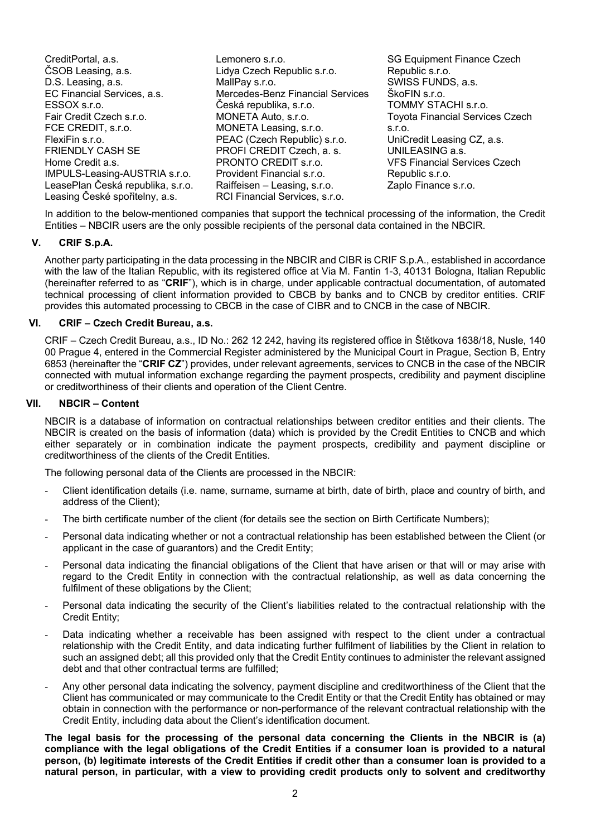CreditPortal, a.s. ČSOB Leasing, a.s. D.S. Leasing, a.s. EC Financial Services, a.s. ESSOX s.r.o. Fair Credit Czech s.r.o. FCE CREDIT, s.r.o. FlexiFin s.r.o. FRIENDLY CASH SE Home Credit a.s. IMPULS-Leasing-AUSTRIA s.r.o. LeasePlan Česká republika, s.r.o. Leasing České spořitelny, a.s.

Lemonero s.r.o. Lidya Czech Republic s.r.o. MallPay s.r.o. Mercedes-Benz Financial Services Česká republika, s.r.o. MONETA Auto, s.r.o. MONETA Leasing, s.r.o. PEAC (Czech Republic) s.r.o. PROFI CREDIT Czech, a. s. PRONTO CREDIT s.r.o. Provident Financial s.r.o. Raiffeisen – Leasing, s.r.o. RCI Financial Services, s.r.o.

SG Equipment Finance Czech Republic s.r.o. SWISS FUNDS, a.s. ŠkoFIN s.r.o. TOMMY STACHI s.r.o. Toyota Financial Services Czech s.r.o. UniCredit Leasing CZ, a.s. UNILEASING a.s. VFS Financial Services Czech Republic s.r.o. Zaplo Finance s.r.o.

In addition to the below-mentioned companies that support the technical processing of the information, the Credit Entities – NBCIR users are the only possible recipients of the personal data contained in the NBCIR.

# **V. CRIF S.p.A.**

Another party participating in the data processing in the NBCIR and CIBR is CRIF S.p.A., established in accordance with the law of the Italian Republic, with its registered office at Via M. Fantin 1-3, 40131 Bologna, Italian Republic (hereinafter referred to as "**CRIF**"), which is in charge, under applicable contractual documentation, of automated technical processing of client information provided to CBCB by banks and to CNCB by creditor entities. CRIF provides this automated processing to CBCB in the case of CIBR and to CNCB in the case of NBCIR.

### **VI. CRIF – Czech Credit Bureau, a.s.**

CRIF – Czech Credit Bureau, a.s., ID No.: 262 12 242, having its registered office in Štětkova 1638/18, Nusle, 140 00 Prague 4, entered in the Commercial Register administered by the Municipal Court in Prague, Section B, Entry 6853 (hereinafter the "**CRIF CZ**") provides, under relevant agreements, services to CNCB in the case of the NBCIR connected with mutual information exchange regarding the payment prospects, credibility and payment discipline or creditworthiness of their clients and operation of the Client Centre.

### **VII. NBCIR – Content**

NBCIR is a database of information on contractual relationships between creditor entities and their clients. The NBCIR is created on the basis of information (data) which is provided by the Credit Entities to CNCB and which either separately or in combination indicate the payment prospects, credibility and payment discipline or creditworthiness of the clients of the Credit Entities.

The following personal data of the Clients are processed in the NBCIR:

- Client identification details (i.e. name, surname, surname at birth, date of birth, place and country of birth, and address of the Client);
- The birth certificate number of the client (for details see the section on Birth Certificate Numbers);
- Personal data indicating whether or not a contractual relationship has been established between the Client (or applicant in the case of guarantors) and the Credit Entity;
- Personal data indicating the financial obligations of the Client that have arisen or that will or may arise with regard to the Credit Entity in connection with the contractual relationship, as well as data concerning the fulfilment of these obligations by the Client;
- Personal data indicating the security of the Client's liabilities related to the contractual relationship with the Credit Entity;
- Data indicating whether a receivable has been assigned with respect to the client under a contractual relationship with the Credit Entity, and data indicating further fulfilment of liabilities by the Client in relation to such an assigned debt; all this provided only that the Credit Entity continues to administer the relevant assigned debt and that other contractual terms are fulfilled;
- Any other personal data indicating the solvency, payment discipline and creditworthiness of the Client that the Client has communicated or may communicate to the Credit Entity or that the Credit Entity has obtained or may obtain in connection with the performance or non-performance of the relevant contractual relationship with the Credit Entity, including data about the Client's identification document.

**The legal basis for the processing of the personal data concerning the Clients in the NBCIR is (a) compliance with the legal obligations of the Credit Entities if a consumer loan is provided to a natural person, (b) legitimate interests of the Credit Entities if credit other than a consumer loan is provided to a natural person, in particular, with a view to providing credit products only to solvent and creditworthy**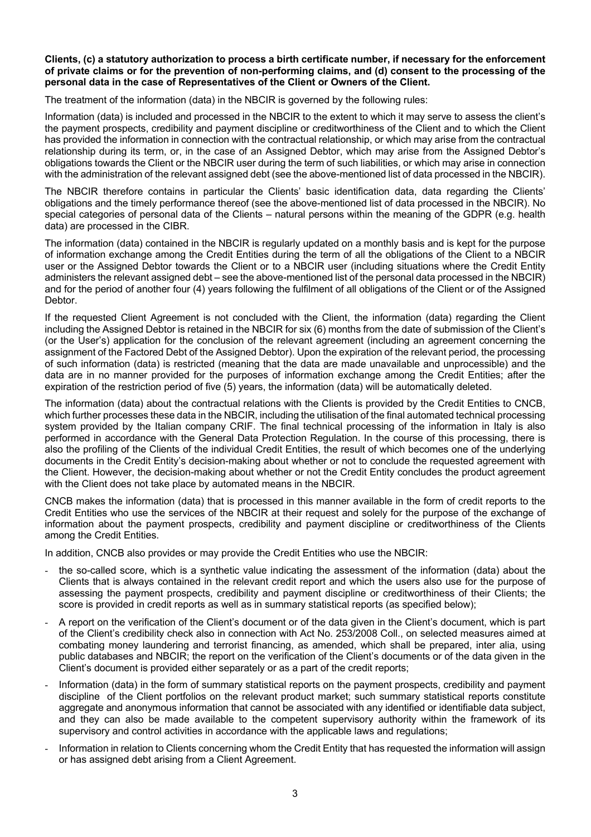#### **Clients, (c) a statutory authorization to process a birth certificate number, if necessary for the enforcement of private claims or for the prevention of non-performing claims, and (d) consent to the processing of the personal data in the case of Representatives of the Client or Owners of the Client.**

The treatment of the information (data) in the NBCIR is governed by the following rules:

Information (data) is included and processed in the NBCIR to the extent to which it may serve to assess the client's the payment prospects, credibility and payment discipline or creditworthiness of the Client and to which the Client has provided the information in connection with the contractual relationship, or which may arise from the contractual relationship during its term, or, in the case of an Assigned Debtor, which may arise from the Assigned Debtor's obligations towards the Client or the NBCIR user during the term of such liabilities, or which may arise in connection with the administration of the relevant assigned debt (see the above-mentioned list of data processed in the NBCIR).

The NBCIR therefore contains in particular the Clients' basic identification data, data regarding the Clients' obligations and the timely performance thereof (see the above-mentioned list of data processed in the NBCIR). No special categories of personal data of the Clients – natural persons within the meaning of the GDPR (e.g. health data) are processed in the CIBR.

The information (data) contained in the NBCIR is regularly updated on a monthly basis and is kept for the purpose of information exchange among the Credit Entities during the term of all the obligations of the Client to a NBCIR user or the Assigned Debtor towards the Client or to a NBCIR user (including situations where the Credit Entity administers the relevant assigned debt – see the above-mentioned list of the personal data processed in the NBCIR) and for the period of another four (4) years following the fulfilment of all obligations of the Client or of the Assigned Debtor.

If the requested Client Agreement is not concluded with the Client, the information (data) regarding the Client including the Assigned Debtor is retained in the NBCIR for six (6) months from the date of submission of the Client's (or the User's) application for the conclusion of the relevant agreement (including an agreement concerning the assignment of the Factored Debt of the Assigned Debtor). Upon the expiration of the relevant period, the processing of such information (data) is restricted (meaning that the data are made unavailable and unprocessible) and the data are in no manner provided for the purposes of information exchange among the Credit Entities; after the expiration of the restriction period of five (5) years, the information (data) will be automatically deleted.

The information (data) about the contractual relations with the Clients is provided by the Credit Entities to CNCB, which further processes these data in the NBCIR, including the utilisation of the final automated technical processing system provided by the Italian company CRIF. The final technical processing of the information in Italy is also performed in accordance with the General Data Protection Regulation. In the course of this processing, there is also the profiling of the Clients of the individual Credit Entities, the result of which becomes one of the underlying documents in the Credit Entity's decision-making about whether or not to conclude the requested agreement with the Client. However, the decision-making about whether or not the Credit Entity concludes the product agreement with the Client does not take place by automated means in the NBCIR.

CNCB makes the information (data) that is processed in this manner available in the form of credit reports to the Credit Entities who use the services of the NBCIR at their request and solely for the purpose of the exchange of information about the payment prospects, credibility and payment discipline or creditworthiness of the Clients among the Credit Entities.

In addition, CNCB also provides or may provide the Credit Entities who use the NBCIR:

- the so-called score, which is a synthetic value indicating the assessment of the information (data) about the Clients that is always contained in the relevant credit report and which the users also use for the purpose of assessing the payment prospects, credibility and payment discipline or creditworthiness of their Clients; the score is provided in credit reports as well as in summary statistical reports (as specified below);
- A report on the verification of the Client's document or of the data given in the Client's document, which is part of the Client's credibility check also in connection with Act No. 253/2008 Coll., on selected measures aimed at combating money laundering and terrorist financing, as amended, which shall be prepared, inter alia, using public databases and NBCIR; the report on the verification of the Client's documents or of the data given in the Client's document is provided either separately or as a part of the credit reports;
- Information (data) in the form of summary statistical reports on the payment prospects, credibility and payment discipline of the Client portfolios on the relevant product market; such summary statistical reports constitute aggregate and anonymous information that cannot be associated with any identified or identifiable data subject, and they can also be made available to the competent supervisory authority within the framework of its supervisory and control activities in accordance with the applicable laws and regulations;
- Information in relation to Clients concerning whom the Credit Entity that has requested the information will assign or has assigned debt arising from a Client Agreement.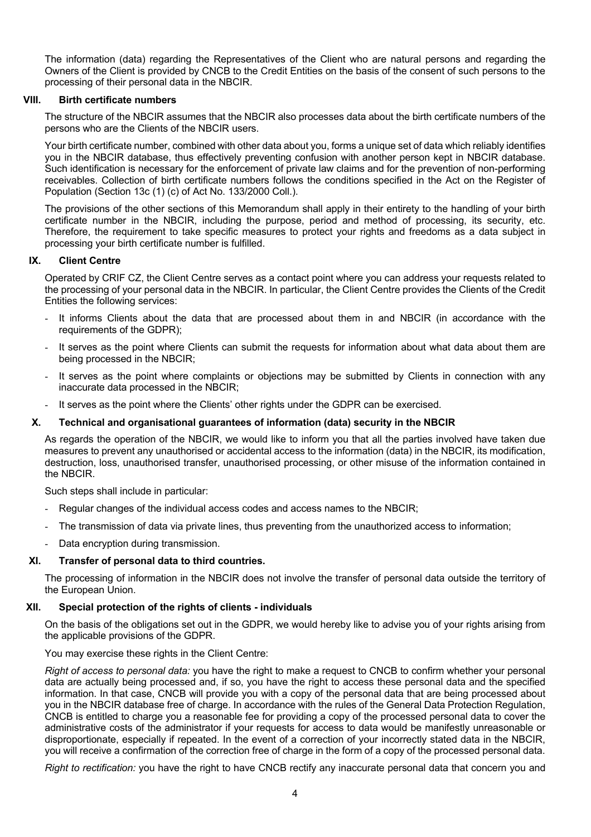The information (data) regarding the Representatives of the Client who are natural persons and regarding the Owners of the Client is provided by CNCB to the Credit Entities on the basis of the consent of such persons to the processing of their personal data in the NBCIR.

### **VIII. Birth certificate numbers**

The structure of the NBCIR assumes that the NBCIR also processes data about the birth certificate numbers of the persons who are the Clients of the NBCIR users.

Your birth certificate number, combined with other data about you, forms a unique set of data which reliably identifies you in the NBCIR database, thus effectively preventing confusion with another person kept in NBCIR database. Such identification is necessary for the enforcement of private law claims and for the prevention of non-performing receivables. Collection of birth certificate numbers follows the conditions specified in the Act on the Register of Population (Section 13c (1) (c) of Act No. 133/2000 Coll.).

The provisions of the other sections of this Memorandum shall apply in their entirety to the handling of your birth certificate number in the NBCIR, including the purpose, period and method of processing, its security, etc. Therefore, the requirement to take specific measures to protect your rights and freedoms as a data subject in processing your birth certificate number is fulfilled.

### **IX. Client Centre**

Operated by CRIF CZ, the Client Centre serves as a contact point where you can address your requests related to the processing of your personal data in the NBCIR. In particular, the Client Centre provides the Clients of the Credit Entities the following services:

- It informs Clients about the data that are processed about them in and NBCIR (in accordance with the requirements of the GDPR);
- It serves as the point where Clients can submit the requests for information about what data about them are being processed in the NBCIR;
- It serves as the point where complaints or objections may be submitted by Clients in connection with any inaccurate data processed in the NBCIR;
- It serves as the point where the Clients' other rights under the GDPR can be exercised.

### **X. Technical and organisational guarantees of information (data) security in the NBCIR**

As regards the operation of the NBCIR, we would like to inform you that all the parties involved have taken due measures to prevent any unauthorised or accidental access to the information (data) in the NBCIR, its modification, destruction, loss, unauthorised transfer, unauthorised processing, or other misuse of the information contained in the NBCIR.

Such steps shall include in particular:

- Regular changes of the individual access codes and access names to the NBCIR;
- The transmission of data via private lines, thus preventing from the unauthorized access to information;
- Data encryption during transmission.

#### **XI. Transfer of personal data to third countries.**

The processing of information in the NBCIR does not involve the transfer of personal data outside the territory of the European Union.

#### **XII. Special protection of the rights of clients - individuals**

On the basis of the obligations set out in the GDPR, we would hereby like to advise you of your rights arising from the applicable provisions of the GDPR.

#### You may exercise these rights in the Client Centre:

*Right of access to personal data:* you have the right to make a request to CNCB to confirm whether your personal data are actually being processed and, if so, you have the right to access these personal data and the specified information. In that case, CNCB will provide you with a copy of the personal data that are being processed about you in the NBCIR database free of charge. In accordance with the rules of the General Data Protection Regulation, CNCB is entitled to charge you a reasonable fee for providing a copy of the processed personal data to cover the administrative costs of the administrator if your requests for access to data would be manifestly unreasonable or disproportionate, especially if repeated. In the event of a correction of your incorrectly stated data in the NBCIR, you will receive a confirmation of the correction free of charge in the form of a copy of the processed personal data.

*Right to rectification:* you have the right to have CNCB rectify any inaccurate personal data that concern you and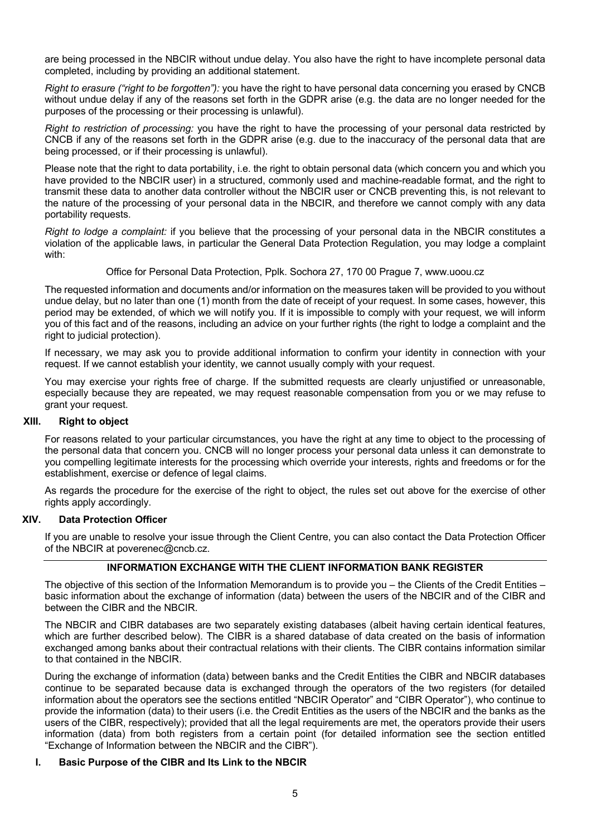are being processed in the NBCIR without undue delay. You also have the right to have incomplete personal data completed, including by providing an additional statement.

*Right to erasure ("right to be forgotten"):* you have the right to have personal data concerning you erased by CNCB without undue delay if any of the reasons set forth in the GDPR arise (e.g. the data are no longer needed for the purposes of the processing or their processing is unlawful).

*Right to restriction of processing:* you have the right to have the processing of your personal data restricted by CNCB if any of the reasons set forth in the GDPR arise (e.g. due to the inaccuracy of the personal data that are being processed, or if their processing is unlawful).

Please note that the right to data portability, i.e. the right to obtain personal data (which concern you and which you have provided to the NBCIR user) in a structured, commonly used and machine-readable format, and the right to transmit these data to another data controller without the NBCIR user or CNCB preventing this, is not relevant to the nature of the processing of your personal data in the NBCIR, and therefore we cannot comply with any data portability requests.

*Right to lodge a complaint:* if you believe that the processing of your personal data in the NBCIR constitutes a violation of the applicable laws, in particular the General Data Protection Regulation, you may lodge a complaint with:

Office for Personal Data Protection, Pplk. Sochora 27, 170 00 Prague 7, www.uoou.cz

The requested information and documents and/or information on the measures taken will be provided to you without undue delay, but no later than one (1) month from the date of receipt of your request. In some cases, however, this period may be extended, of which we will notify you. If it is impossible to comply with your request, we will inform you of this fact and of the reasons, including an advice on your further rights (the right to lodge a complaint and the right to judicial protection).

If necessary, we may ask you to provide additional information to confirm your identity in connection with your request. If we cannot establish your identity, we cannot usually comply with your request.

You may exercise your rights free of charge. If the submitted requests are clearly unjustified or unreasonable, especially because they are repeated, we may request reasonable compensation from you or we may refuse to grant your request.

### **XIII. Right to object**

For reasons related to your particular circumstances, you have the right at any time to object to the processing of the personal data that concern you. CNCB will no longer process your personal data unless it can demonstrate to you compelling legitimate interests for the processing which override your interests, rights and freedoms or for the establishment, exercise or defence of legal claims.

As regards the procedure for the exercise of the right to object, the rules set out above for the exercise of other rights apply accordingly.

### **XIV. Data Protection Officer**

If you are unable to resolve your issue through the Client Centre, you can also contact the Data Protection Officer of the NBCIR at poverenec@cncb.cz.

# **INFORMATION EXCHANGE WITH THE CLIENT INFORMATION BANK REGISTER**

The objective of this section of the Information Memorandum is to provide you – the Clients of the Credit Entities – basic information about the exchange of information (data) between the users of the NBCIR and of the CIBR and between the CIBR and the NBCIR.

The NBCIR and CIBR databases are two separately existing databases (albeit having certain identical features, which are further described below). The CIBR is a shared database of data created on the basis of information exchanged among banks about their contractual relations with their clients. The CIBR contains information similar to that contained in the NBCIR.

During the exchange of information (data) between banks and the Credit Entities the CIBR and NBCIR databases continue to be separated because data is exchanged through the operators of the two registers (for detailed information about the operators see the sections entitled "NBCIR Operator" and "CIBR Operator"), who continue to provide the information (data) to their users (i.e. the Credit Entities as the users of the NBCIR and the banks as the users of the CIBR, respectively); provided that all the legal requirements are met, the operators provide their users information (data) from both registers from a certain point (for detailed information see the section entitled "Exchange of Information between the NBCIR and the CIBR").

#### **I. Basic Purpose of the CIBR and Its Link to the NBCIR**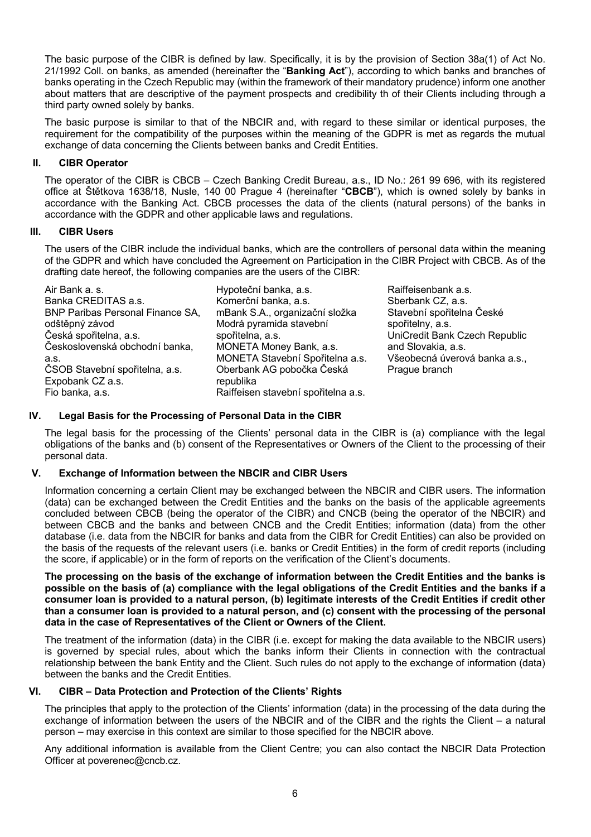The basic purpose of the CIBR is defined by law. Specifically, it is by the provision of Section 38a(1) of Act No. 21/1992 Coll. on banks, as amended (hereinafter the "**Banking Act**"), according to which banks and branches of banks operating in the Czech Republic may (within the framework of their mandatory prudence) inform one another about matters that are descriptive of the payment prospects and credibility th of their Clients including through a third party owned solely by banks.

The basic purpose is similar to that of the NBCIR and, with regard to these similar or identical purposes, the requirement for the compatibility of the purposes within the meaning of the GDPR is met as regards the mutual exchange of data concerning the Clients between banks and Credit Entities.

# **II. CIBR Operator**

The operator of the CIBR is CBCB – Czech Banking Credit Bureau, a.s., ID No.: 261 99 696, with its registered office at Štětkova 1638/18, Nusle, 140 00 Prague 4 (hereinafter "**CBCB**"), which is owned solely by banks in accordance with the Banking Act. CBCB processes the data of the clients (natural persons) of the banks in accordance with the GDPR and other applicable laws and regulations.

# **III. CIBR Users**

The users of the CIBR include the individual banks, which are the controllers of personal data within the meaning of the GDPR and which have concluded the Agreement on Participation in the CIBR Project with CBCB. As of the drafting date hereof, the following companies are the users of the CIBR:

| Air Bank a. s.                          | Hypoteční banka, a.s.               |
|-----------------------------------------|-------------------------------------|
| Banka CREDITAS a.s.                     | Komerční banka, a.s.                |
| <b>BNP Paribas Personal Finance SA,</b> | mBank S.A., organizační složka      |
| odštěpný závod                          | Modrá pyramida stavební             |
| Česká spořitelna, a.s.                  | spořitelna, a.s.                    |
| Československá obchodní banka,          | MONETA Money Bank, a.s.             |
| a.s.                                    | MONETA Stavební Spořitelna a.s.     |
| ČSOB Stavební spořitelna, a.s.          | Oberbank AG pobočka Česká           |
| Expobank CZ a.s.                        | republika                           |
| Fio banka, a.s.                         | Raiffeisen stavební spořitelna a.s. |

Raiffeisenbank a.s. Sberbank CZ, a.s. Stavební spořitelna České spořitelny, a.s. UniCredit Bank Czech Republic and Slovakia, a.s. Všeobecná úverová banka a.s., Prague branch

# **IV. Legal Basis for the Processing of Personal Data in the CIBR**

The legal basis for the processing of the Clients' personal data in the CIBR is (a) compliance with the legal obligations of the banks and (b) consent of the Representatives or Owners of the Client to the processing of their personal data.

# **V. Exchange of Information between the NBCIR and CIBR Users**

Information concerning a certain Client may be exchanged between the NBCIR and CIBR users. The information (data) can be exchanged between the Credit Entities and the banks on the basis of the applicable agreements concluded between CBCB (being the operator of the CIBR) and CNCB (being the operator of the NBCIR) and between CBCB and the banks and between CNCB and the Credit Entities; information (data) from the other database (i.e. data from the NBCIR for banks and data from the CIBR for Credit Entities) can also be provided on the basis of the requests of the relevant users (i.e. banks or Credit Entities) in the form of credit reports (including the score, if applicable) or in the form of reports on the verification of the Client's documents.

**The processing on the basis of the exchange of information between the Credit Entities and the banks is possible on the basis of (a) compliance with the legal obligations of the Credit Entities and the banks if a consumer loan is provided to a natural person, (b) legitimate interests of the Credit Entities if credit other than a consumer loan is provided to a natural person, and (c) consent with the processing of the personal data in the case of Representatives of the Client or Owners of the Client.**

The treatment of the information (data) in the CIBR (i.e. except for making the data available to the NBCIR users) is governed by special rules, about which the banks inform their Clients in connection with the contractual relationship between the bank Entity and the Client. Such rules do not apply to the exchange of information (data) between the banks and the Credit Entities.

# **VI. CIBR – Data Protection and Protection of the Clients' Rights**

The principles that apply to the protection of the Clients' information (data) in the processing of the data during the exchange of information between the users of the NBCIR and of the CIBR and the rights the Client – a natural person – may exercise in this context are similar to those specified for the NBCIR above.

Any additional information is available from the Client Centre; you can also contact the NBCIR Data Protection Officer at poverenec@cncb.cz.